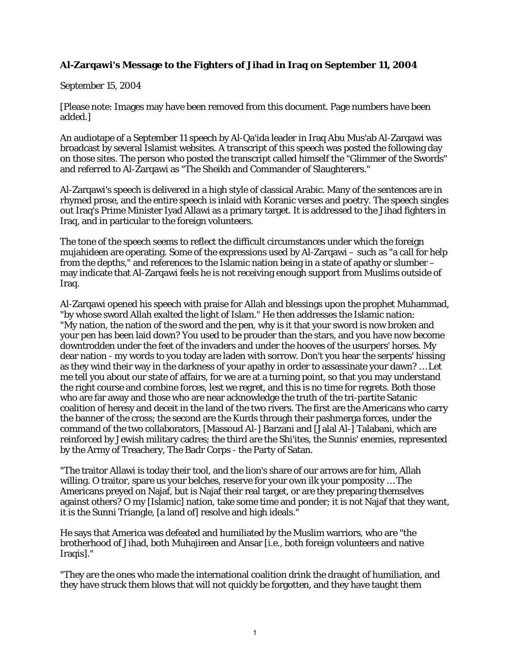## **Al-Zarqawi's Message to the Fighters of Jihad in Iraq on September 11, 2004**

September 15, 2004

[Please note: Images may have been removed from this document. Page numbers have been added.]

An audiotape of a September 11 speech by Al-Qa'ida leader in Iraq Abu Mus'ab Al-Zarqawi was broadcast by several Islamist websites. A transcript of this speech was posted the following day on those sites. The person who posted the transcript called himself the "Glimmer of the Swords" and referred to Al-Zarqawi as "The Sheikh and Commander of Slaughterers."

Al-Zarqawi's speech is delivered in a high style of classical Arabic. Many of the sentences are in rhymed prose, and the entire speech is inlaid with Koranic verses and poetry. The speech singles out Iraq's Prime Minister Iyad Allawi as a primary target. It is addressed to the Jihad fighters in Iraq, and in particular to the foreign volunteers.

The tone of the speech seems to reflect the difficult circumstances under which the foreign mujahideen are operating. Some of the expressions used by Al-Zarqawi – such as "a call for help from the depths," and references to the Islamic nation being in a state of apathy or slumber – may indicate that Al-Zarqawi feels he is not receiving enough support from Muslims outside of Iraq.

Al-Zarqawi opened his speech with praise for Allah and blessings upon the prophet Muhammad, "by whose sword Allah exalted the light of Islam." He then addresses the Islamic nation: "My nation, the nation of the sword and the pen, why is it that your sword is now broken and your pen has been laid down? You used to be prouder than the stars, and you have now become downtrodden under the feet of the invaders and under the hooves of the usurpers' horses. My dear nation - my words to you today are laden with sorrow. Don't you hear the serpents' hissing as they wind their way in the darkness of your apathy in order to assassinate your dawn? … Let me tell you about our state of affairs, for we are at a turning point, so that you may understand the right course and combine forces, lest we regret, and this is no time for regrets. Both those who are far away and those who are near acknowledge the truth of the tri-partite Satanic coalition of heresy and deceit in the land of the two rivers. The first are the Americans who carry the banner of the cross; the second are the Kurds through their pashmerga forces, under the command of the two collaborators, [Massoud Al-] Barzani and [Jalal Al-] Talabani, which are reinforced by Jewish military cadres; the third are the Shi'ites, the Sunnis' enemies, represented by the Army of Treachery, The Badr Corps - the Party of Satan.

"The traitor Allawi is today their tool, and the lion's share of our arrows are for him, Allah willing. O traitor, spare us your belches, reserve for your own ilk your pomposity … The Americans preyed on Najaf, but is Najaf their real target, or are they preparing themselves against others? O my [Islamic] nation, take some time and ponder; it is not Najaf that they want, it is the Sunni Triangle, [a land of] resolve and high ideals."

He says that America was defeated and humiliated by the Muslim warriors, who are "the brotherhood of Jihad, both Muhajireen and Ansar [i.e., both foreign volunteers and native Iraqis]."

"They are the ones who made the international coalition drink the draught of humiliation, and they have struck them blows that will not quickly be forgotten, and they have taught them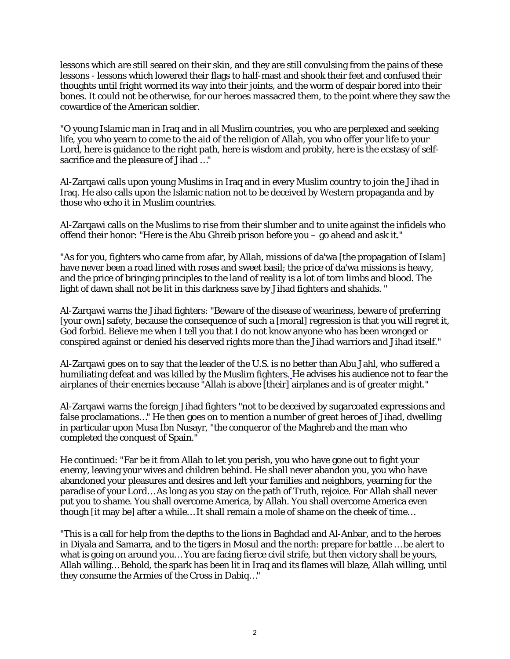lessons which are still seared on their skin, and they are still convulsing from the pains of these lessons - lessons which lowered their flags to half-mast and shook their feet and confused their thoughts until fright wormed its way into their joints, and the worm of despair bored into their bones. It could not be otherwise, for our heroes massacred them, to the point where they saw the cowardice of the American soldier.

"O young Islamic man in Iraq and in all Muslim countries, you who are perplexed and seeking life, you who yearn to come to the aid of the religion of Allah, you who offer your life to your Lord, here is guidance to the right path, here is wisdom and probity, here is the ecstasy of selfsacrifice and the pleasure of Jihad …"

Al-Zarqawi calls upon young Muslims in Iraq and in every Muslim country to join the Jihad in Iraq. He also calls upon the Islamic nation not to be deceived by Western propaganda and by those who echo it in Muslim countries.

Al-Zarqawi calls on the Muslims to rise from their slumber and to unite against the infidels who offend their honor: "Here is the Abu Ghreib prison before you – go ahead and ask it."

"As for you, fighters who came from afar, by Allah, missions of da'wa [the propagation of Islam] have never been a road lined with roses and sweet basil; the price of da'wa missions is heavy, and the price of bringing principles to the land of reality is a lot of torn limbs and blood. The light of dawn shall not be lit in this darkness save by Jihad fighters and shahids. "

Al-Zarqawi warns the Jihad fighters: "Beware of the disease of weariness, beware of preferring [your own] safety, because the consequence of such a [moral] regression is that you will regret it, God forbid. Believe me when I tell you that I do not know anyone who has been wronged or conspired against or denied his deserved rights more than the Jihad warriors and Jihad itself."

Al-Zarqawi goes on to say that the leader of the U.S. is no better than Abu Jahl, who suffered a humiliating defeat and was killed by the Muslim fighters. He advises his audience not to fear the airplanes of their enemies because "Allah is above [their] airplanes and is of greater might."

Al-Zarqawi warns the foreign Jihad fighters "not to be deceived by sugarcoated expressions and false proclamations…" He then goes on to mention a number of great heroes of Jihad, dwelling in particular upon Musa Ibn Nusayr, "the conqueror of the Maghreb and the man who completed the conquest of Spain."

He continued: "Far be it from Allah to let you perish, you who have gone out to fight your enemy, leaving your wives and children behind. He shall never abandon you, you who have abandoned your pleasures and desires and left your families and neighbors, yearning for the paradise of your Lord… As long as you stay on the path of Truth, rejoice. For Allah shall never put you to shame. You shall overcome America, by Allah. You shall overcome America even though [it may be] after a while… It shall remain a mole of shame on the cheek of time…

"This is a call for help from the depths to the lions in Baghdad and Al-Anbar, and to the heroes in Diyala and Samarra, and to the tigers in Mosul and the north: prepare for battle … be alert to what is going on around you… You are facing fierce civil strife, but then victory shall be yours, Allah willing… Behold, the spark has been lit in Iraq and its flames will blaze, Allah willing, until they consume the Armies of the Cross in Dabiq…"